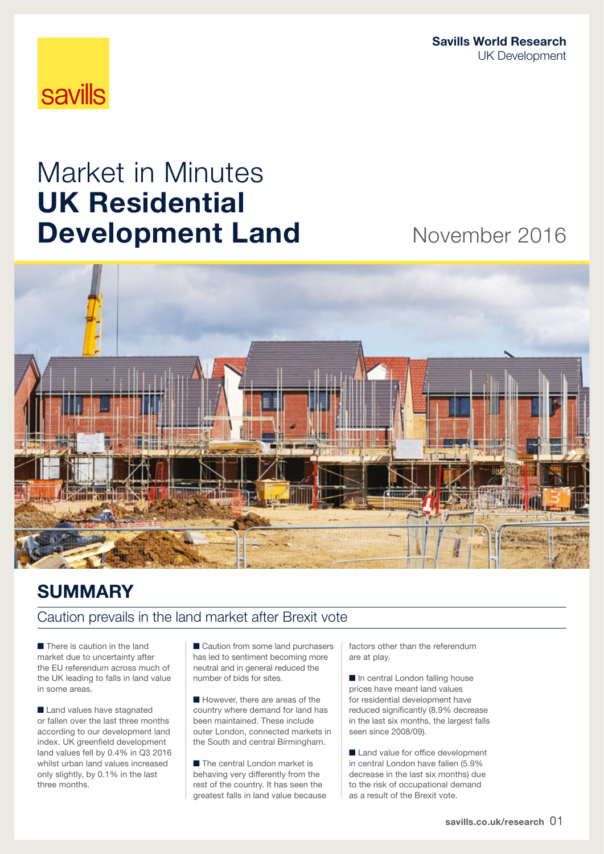Savills World Research UK Development

# **savills**

# Market in Minutes UK Residential **Development Land Movember 2016**



### **SUMMARY**

### Caution prevails in the land market after Brexit vote

■ There is caution in the land market due to uncertainty after the EU referendum across much of the UK leading to falls in land value in some areas.

■ Land values have stagnated or fallen over the last three months according to our development land index. UK greenfield development land values fell by 0.4% in Q3 2016 whilst urban land values increased only slightly, by 0.1% in the last three months.

■ Caution from some land purchasers has led to sentiment becoming more neutral and in general reduced the number of bids for sites.

■ However, there are areas of the country where demand for land has been maintained. These include outer London, connected markets in the South and central Birmingham.

■ The central London market is behaving very differently from the rest of the country. It has seen the greatest falls in land value because factors other than the referendum are at play.

■ In central London falling house prices have meant land values for residential development have reduced significantly (8.9% decrease in the last six months, the largest falls seen since 2008/09).

■ Land value for office development in central London have fallen (5.9% decrease in the last six months) due to the risk of occupational demand as a result of the Brexit vote.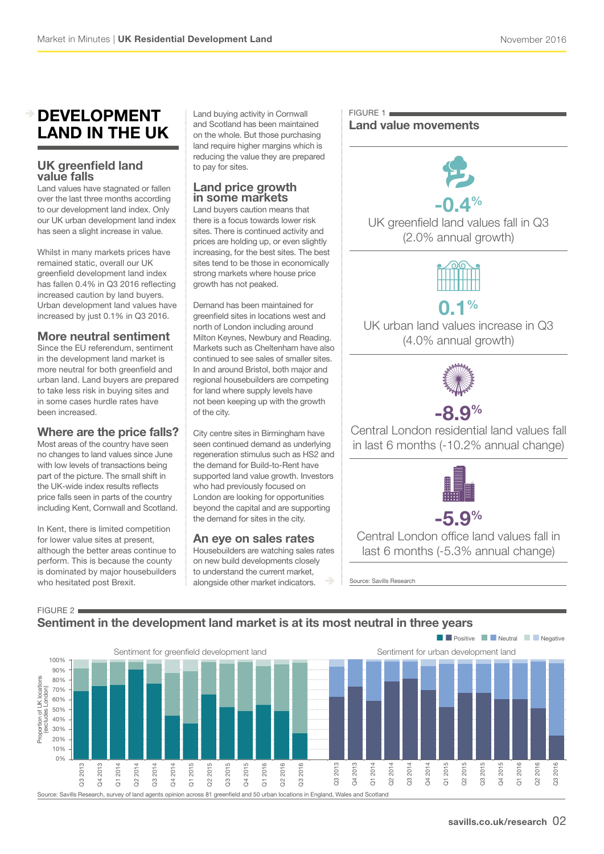### development land IN THE UK

### UK greenfield land value falls

Land values have stagnated or fallen over the last three months according to our development land index. Only our UK urban development land index has seen a slight increase in value.

Whilst in many markets prices have remained static, overall our UK greenfield development land index has fallen 0.4% in Q3 2016 reflecting increased caution by land buyers. Urban development land values have increased by just 0.1% in Q3 2016.

### More neutral sentiment

Since the EU referendum, sentiment in the development land market is more neutral for both greenfield and urban land. Land buyers are prepared to take less risk in buying sites and in some cases hurdle rates have been increased.

### Where are the price falls?

Most areas of the country have seen no changes to land values since June with low levels of transactions being part of the picture. The small shift in the UK-wide index results reflects price falls seen in parts of the country including Kent, Cornwall and Scotland.

In Kent, there is limited competition for lower value sites at present, although the better areas continue to perform. This is because the county is dominated by major housebuilders who hesitated post Brexit.

 $FIGURE 2$ 

Land buying activity in Cornwall and Scotland has been maintained on the whole. But those purchasing land require higher margins which is reducing the value they are prepared to pay for sites.

### Land price growth in some markets

Land buyers caution means that there is a focus towards lower risk sites. There is continued activity and prices are holding up, or even slightly increasing, for the best sites. The best sites tend to be those in economically strong markets where house price growth has not peaked.

Demand has been maintained for greenfield sites in locations west and north of London including around Milton Keynes, Newbury and Reading. Markets such as Cheltenham have also continued to see sales of smaller sites. In and around Bristol, both major and regional housebuilders are competing for land where supply levels have not been keeping up with the growth of the city.

City centre sites in Birmingham have seen continued demand as underlying regeneration stimulus such as HS2 and the demand for Build-to-Rent have supported land value growth. Investors who had previously focused on London are looking for opportunities beyond the capital and are supporting the demand for sites in the city.

### An eye on sales rates

Housebuilders are watching sales rates on new build developments closely to understand the current market, alongside other market indicators.

#### $FIGURE 1$ Land value movements



UK greenfield land values fall in Q3 (2.0% annual growth)



UK urban land values increase in Q3 (4.0% annual growth)



## $-8.9%$

Central London residential land values fall in last 6 months (-10.2% annual change)



Central London office land values fall in last 6 months (-5.3% annual change)

Source: Savills Research

### Sentiment in the development land market is at its most neutral in three years

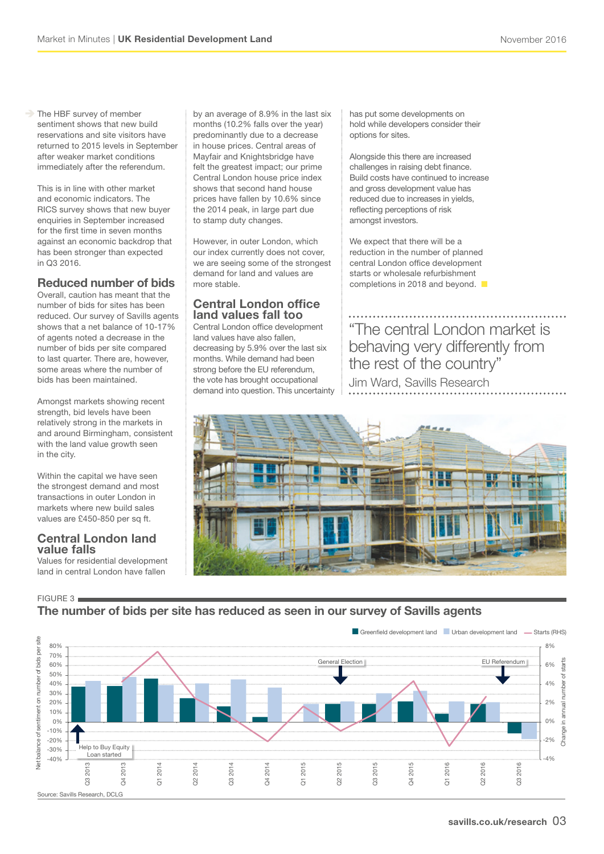The HBF survey of member sentiment shows that new build reservations and site visitors have returned to 2015 levels in September after weaker market conditions immediately after the referendum.

This is in line with other market and economic indicators. The RICS survey shows that new buyer enquiries in September increased for the first time in seven months against an economic backdrop that has been stronger than expected in Q3 2016.

### Reduced number of bids

Overall, caution has meant that the number of bids for sites has been reduced. Our survey of Savills agents shows that a net balance of 10-17% of agents noted a decrease in the number of bids per site compared to last quarter. There are, however, some areas where the number of bids has been maintained.

Amongst markets showing recent strength, bid levels have been relatively strong in the markets in and around Birmingham, consistent with the land value growth seen in the city.

Within the capital we have seen the strongest demand and most transactions in outer London in markets where new build sales values are £450-850 per sq ft.

#### Central London land value falls

Values for residential development land in central London have fallen

FIGURE 3

### The number of bids per site has reduced as seen in our survey of Savills agents



by an average of 8.9% in the last six months (10.2% falls over the year) predominantly due to a decrease in house prices. Central areas of Mayfair and Knightsbridge have felt the greatest impact; our prime Central London house price index shows that second hand house prices have fallen by 10.6% since the 2014 peak, in large part due to stamp duty changes.

However, in outer London, which our index currently does not cover, we are seeing some of the strongest demand for land and values are more stable.

### Central London office land values fall too

Central London office development land values have also fallen, decreasing by 5.9% over the last six months. While demand had been strong before the EU referendum, the vote has brought occupational demand into question. This uncertainty has put some developments on hold while developers consider their options for sites.

Alongside this there are increased challenges in raising debt finance. Build costs have continued to increase and gross development value has reduced due to increases in yields, reflecting perceptions of risk amongst investors.

We expect that there will be a reduction in the number of planned central London office development starts or wholesale refurbishment completions in 2018 and beyond.  $\blacksquare$ 

"The central London market is behaving very differently from the rest of the country" Jim Ward, Savills Research